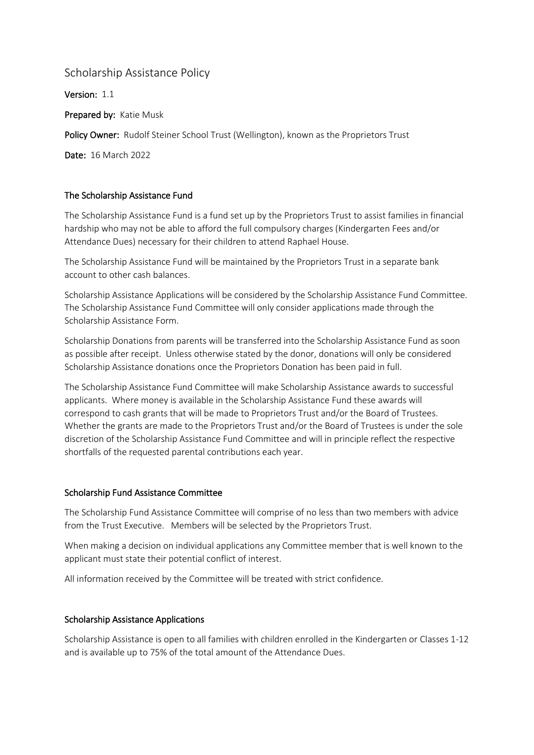# Scholarship Assistance Policy

Version: 1.1 Prepared by: Katie Musk Policy Owner: Rudolf Steiner School Trust (Wellington), known as the Proprietors Trust Date: 16 March 2022

## The Scholarship Assistance Fund

The Scholarship Assistance Fund is a fund set up by the Proprietors Trust to assist families in financial hardship who may not be able to afford the full compulsory charges (Kindergarten Fees and/or Attendance Dues) necessary for their children to attend Raphael House.

The Scholarship Assistance Fund will be maintained by the Proprietors Trust in a separate bank account to other cash balances.

Scholarship Assistance Applications will be considered by the Scholarship Assistance Fund Committee. The Scholarship Assistance Fund Committee will only consider applications made through the Scholarship Assistance Form.

Scholarship Donations from parents will be transferred into the Scholarship Assistance Fund as soon as possible after receipt. Unless otherwise stated by the donor, donations will only be considered Scholarship Assistance donations once the Proprietors Donation has been paid in full.

The Scholarship Assistance Fund Committee will make Scholarship Assistance awards to successful applicants. Where money is available in the Scholarship Assistance Fund these awards will correspond to cash grants that will be made to Proprietors Trust and/or the Board of Trustees. Whether the grants are made to the Proprietors Trust and/or the Board of Trustees is under the sole discretion of the Scholarship Assistance Fund Committee and will in principle reflect the respective shortfalls of the requested parental contributions each year.

### Scholarship Fund Assistance Committee

The Scholarship Fund Assistance Committee will comprise of no less than two members with advice from the Trust Executive. Members will be selected by the Proprietors Trust.

When making a decision on individual applications any Committee member that is well known to the applicant must state their potential conflict of interest.

All information received by the Committee will be treated with strict confidence.

### Scholarship Assistance Applications

Scholarship Assistance is open to all families with children enrolled in the Kindergarten or Classes 1-12 and is available up to 75% of the total amount of the Attendance Dues.